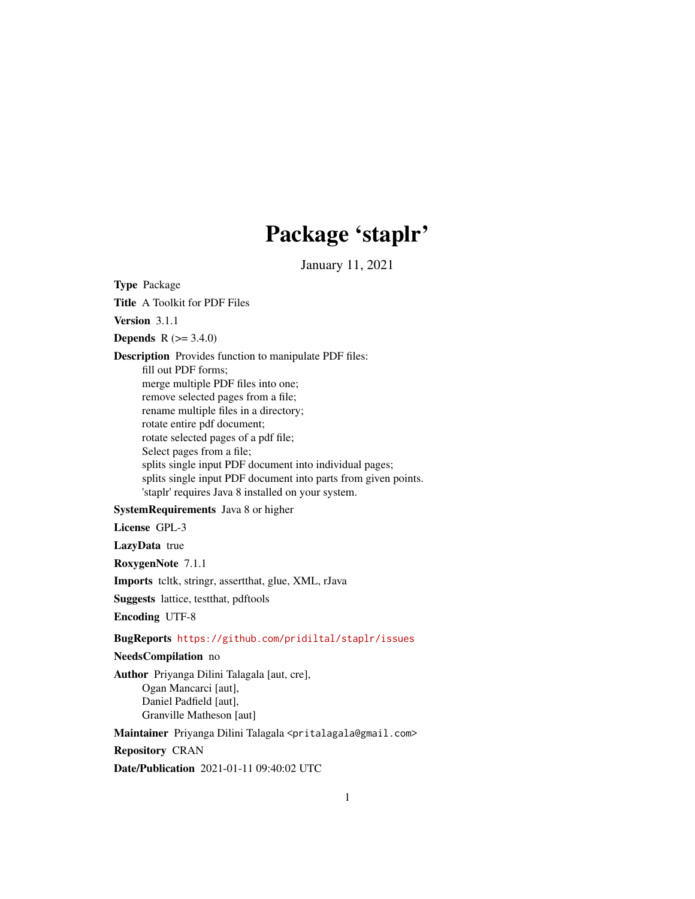# Package 'staplr'

January 11, 2021

Type Package

Title A Toolkit for PDF Files

Version 3.1.1

**Depends** R  $(>= 3.4.0)$ 

Description Provides function to manipulate PDF files: fill out PDF forms; merge multiple PDF files into one; remove selected pages from a file; rename multiple files in a directory; rotate entire pdf document; rotate selected pages of a pdf file; Select pages from a file; splits single input PDF document into individual pages; splits single input PDF document into parts from given points. 'staplr' requires Java 8 installed on your system.

# SystemRequirements Java 8 or higher

License GPL-3

LazyData true

RoxygenNote 7.1.1

Imports tcltk, stringr, assertthat, glue, XML, rJava

Suggests lattice, testthat, pdftools

Encoding UTF-8

# BugReports <https://github.com/pridiltal/staplr/issues>

# NeedsCompilation no

Author Priyanga Dilini Talagala [aut, cre], Ogan Mancarci [aut], Daniel Padfield [aut], Granville Matheson [aut]

Maintainer Priyanga Dilini Talagala <pritalagala@gmail.com>

Repository CRAN

Date/Publication 2021-01-11 09:40:02 UTC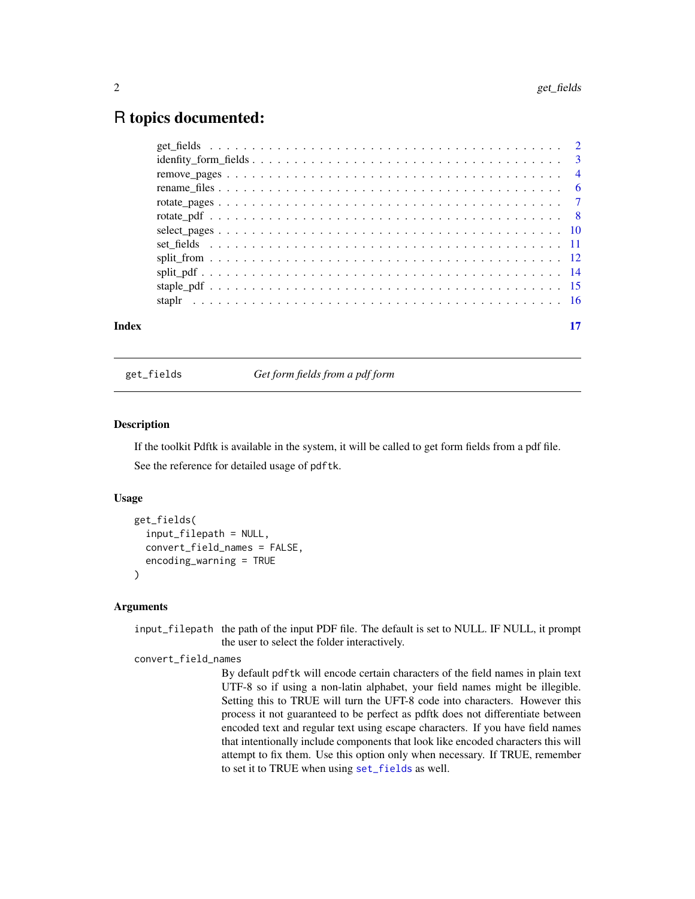# <span id="page-1-0"></span>R topics documented:

| Index | 17 |
|-------|----|

<span id="page-1-1"></span>get\_fields *Get form fields from a pdf form*

#### Description

If the toolkit Pdftk is available in the system, it will be called to get form fields from a pdf file. See the reference for detailed usage of pdftk.

#### Usage

```
get_fields(
  input_filepath = NULL,
  convert_field_names = FALSE,
  encoding_warning = TRUE
)
```
#### **Arguments**

input\_filepath the path of the input PDF file. The default is set to NULL. IF NULL, it prompt the user to select the folder interactively.

#### convert\_field\_names

By default pdftk will encode certain characters of the field names in plain text UTF-8 so if using a non-latin alphabet, your field names might be illegible. Setting this to TRUE will turn the UFT-8 code into characters. However this process it not guaranteed to be perfect as pdftk does not differentiate between encoded text and regular text using escape characters. If you have field names that intentionally include components that look like encoded characters this will attempt to fix them. Use this option only when necessary. If TRUE, remember to set it to TRUE when using [set\\_fields](#page-10-1) as well.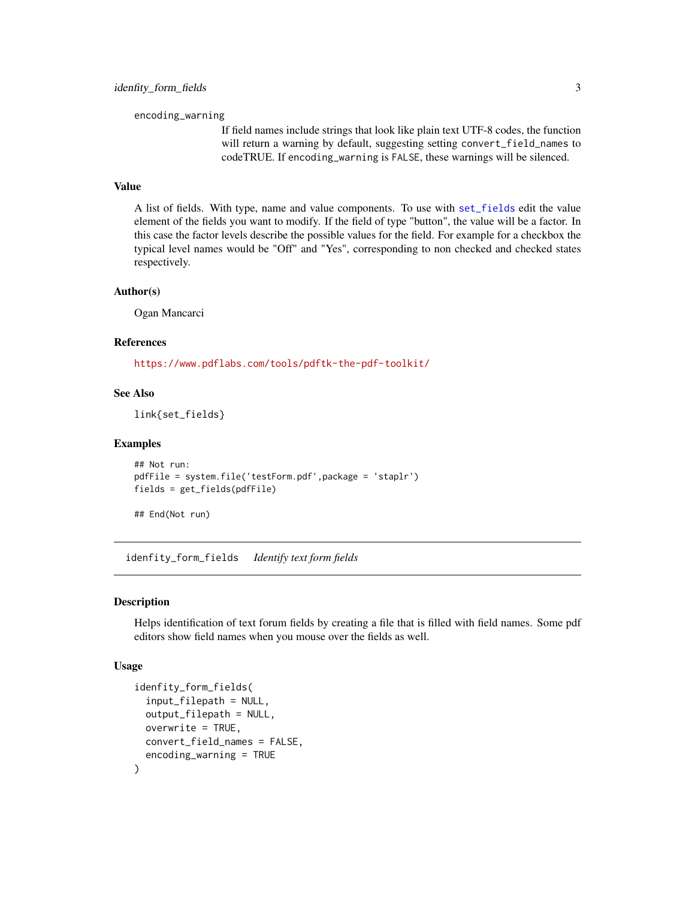<span id="page-2-0"></span>encoding\_warning

If field names include strings that look like plain text UTF-8 codes, the function will return a warning by default, suggesting setting convert\_field\_names to codeTRUE. If encoding\_warning is FALSE, these warnings will be silenced.

#### Value

A list of fields. With type, name and value components. To use with [set\\_fields](#page-10-1) edit the value element of the fields you want to modify. If the field of type "button", the value will be a factor. In this case the factor levels describe the possible values for the field. For example for a checkbox the typical level names would be "Off" and "Yes", corresponding to non checked and checked states respectively.

#### Author(s)

Ogan Mancarci

# References

<https://www.pdflabs.com/tools/pdftk-the-pdf-toolkit/>

# See Also

link{set\_fields}

#### Examples

```
## Not run:
pdfFile = system.file('testForm.pdf',package = 'staplr')
fields = get_fields(pdfFile)
```
## End(Not run)

idenfity\_form\_fields *Identify text form fields*

#### Description

Helps identification of text forum fields by creating a file that is filled with field names. Some pdf editors show field names when you mouse over the fields as well.

#### Usage

```
idenfity_form_fields(
  input_filepath = NULL,
  output_filepath = NULL,
  overwrite = TRUE,
  convert_field_names = FALSE,
  encoding_warning = TRUE
)
```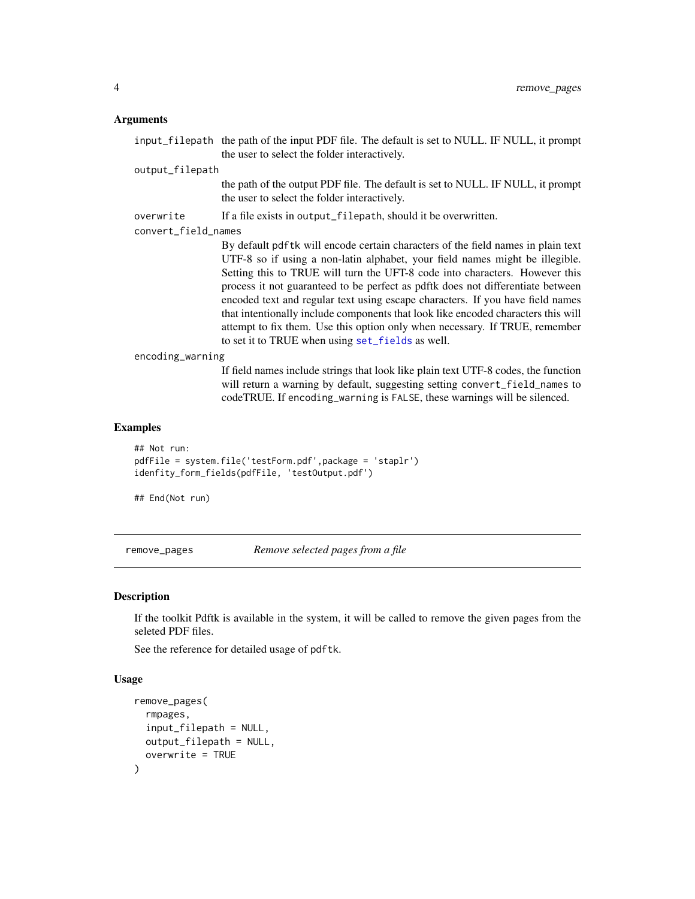# <span id="page-3-0"></span>Arguments

|                     | input_filepath the path of the input PDF file. The default is set to NULL. IF NULL, it prompt                                                                                                                                                                                                                                                                                                                                                                                                                                                                                                                                                 |
|---------------------|-----------------------------------------------------------------------------------------------------------------------------------------------------------------------------------------------------------------------------------------------------------------------------------------------------------------------------------------------------------------------------------------------------------------------------------------------------------------------------------------------------------------------------------------------------------------------------------------------------------------------------------------------|
|                     | the user to select the folder interactively.                                                                                                                                                                                                                                                                                                                                                                                                                                                                                                                                                                                                  |
| output_filepath     |                                                                                                                                                                                                                                                                                                                                                                                                                                                                                                                                                                                                                                               |
|                     | the path of the output PDF file. The default is set to NULL. IF NULL, it prompt<br>the user to select the folder interactively.                                                                                                                                                                                                                                                                                                                                                                                                                                                                                                               |
| overwrite           | If a file exists in output_filepath, should it be overwritten.                                                                                                                                                                                                                                                                                                                                                                                                                                                                                                                                                                                |
| convert_field_names |                                                                                                                                                                                                                                                                                                                                                                                                                                                                                                                                                                                                                                               |
|                     | By default pdf tk will encode certain characters of the field names in plain text<br>UTF-8 so if using a non-latin alphabet, your field names might be illegible.<br>Setting this to TRUE will turn the UFT-8 code into characters. However this<br>process it not guaranteed to be perfect as pdftk does not differentiate between<br>encoded text and regular text using escape characters. If you have field names<br>that intentionally include components that look like encoded characters this will<br>attempt to fix them. Use this option only when necessary. If TRUE, remember<br>to set it to TRUE when using set_fields as well. |
| encoding_warning    |                                                                                                                                                                                                                                                                                                                                                                                                                                                                                                                                                                                                                                               |
|                     | If field names include strings that look like plain text UTF-8 codes, the function<br>will return a warning by default, suggesting setting convert_field_names to<br>codeTRUE. If encoding_warning is FALSE, these warnings will be silenced.                                                                                                                                                                                                                                                                                                                                                                                                 |

# Examples

```
## Not run:
pdfFile = system.file('testForm.pdf',package = 'staplr')
idenfity_form_fields(pdfFile, 'testOutput.pdf')
```
## End(Not run)

<span id="page-3-1"></span>remove\_pages *Remove selected pages from a file*

# Description

If the toolkit Pdftk is available in the system, it will be called to remove the given pages from the seleted PDF files.

See the reference for detailed usage of pdftk.

# Usage

```
remove_pages(
  rmpages,
  input_filepath = NULL,
  output_filepath = NULL,
  overwrite = TRUE
\mathcal{E}
```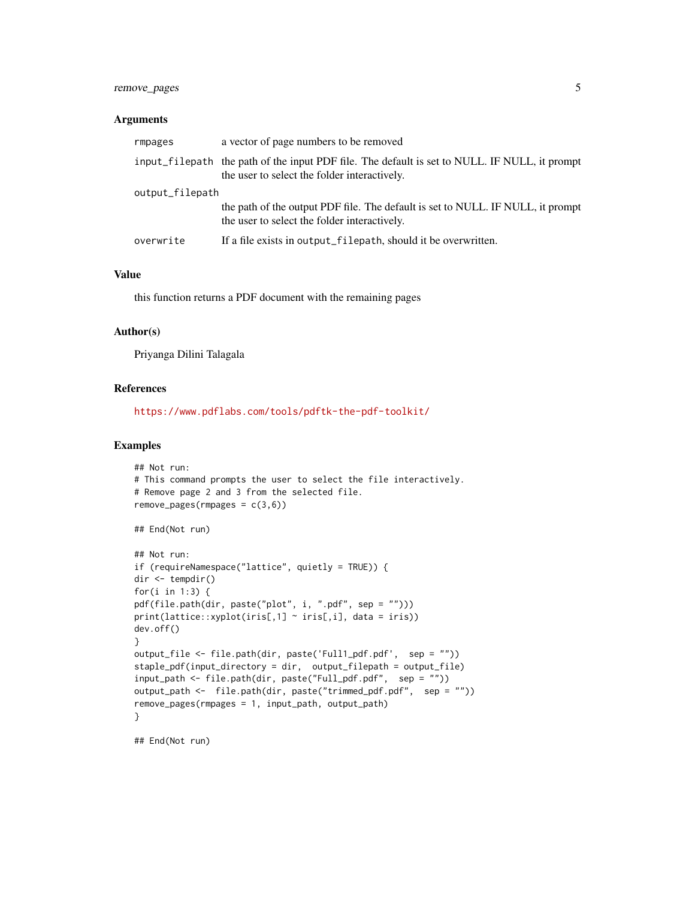# remove\_pages 5

#### **Arguments**

| rmpages         | a vector of page numbers to be removed                                                                                                        |
|-----------------|-----------------------------------------------------------------------------------------------------------------------------------------------|
|                 | input_filepath the path of the input PDF file. The default is set to NULL. IF NULL, it prompt<br>the user to select the folder interactively. |
| output_filepath |                                                                                                                                               |
|                 | the path of the output PDF file. The default is set to NULL. IF NULL, it prompt<br>the user to select the folder interactively.               |
| overwrite       | If a file exists in output_filepath, should it be overwritten.                                                                                |

# Value

this function returns a PDF document with the remaining pages

# Author(s)

Priyanga Dilini Talagala

#### References

<https://www.pdflabs.com/tools/pdftk-the-pdf-toolkit/>

#### Examples

```
## Not run:
# This command prompts the user to select the file interactively.
# Remove page 2 and 3 from the selected file.
remove_pages(rmpages = c(3,6))
## End(Not run)
## Not run:
if (requireNamespace("lattice", quietly = TRUE)) {
dir <- tempdir()
for(i in 1:3) {
pdf(file.path(dir, paste("plot", i, ".pdf", sep = "")))
print(lattice::xyplot(iris[,1] ~ "iris[,i], data = iris))
dev.off()
}
output_file <- file.path(dir, paste('Full1_pdf.pdf', sep = ""))
staple_pdf(input_directory = dir, output_filepath = output_file)
input_path <- file.path(dir, paste("Full_pdf.pdf", sep = ""))
output_path <- file.path(dir, paste("trimmed_pdf.pdf", sep = ""))
remove_pages(rmpages = 1, input_path, output_path)
}
```
## End(Not run)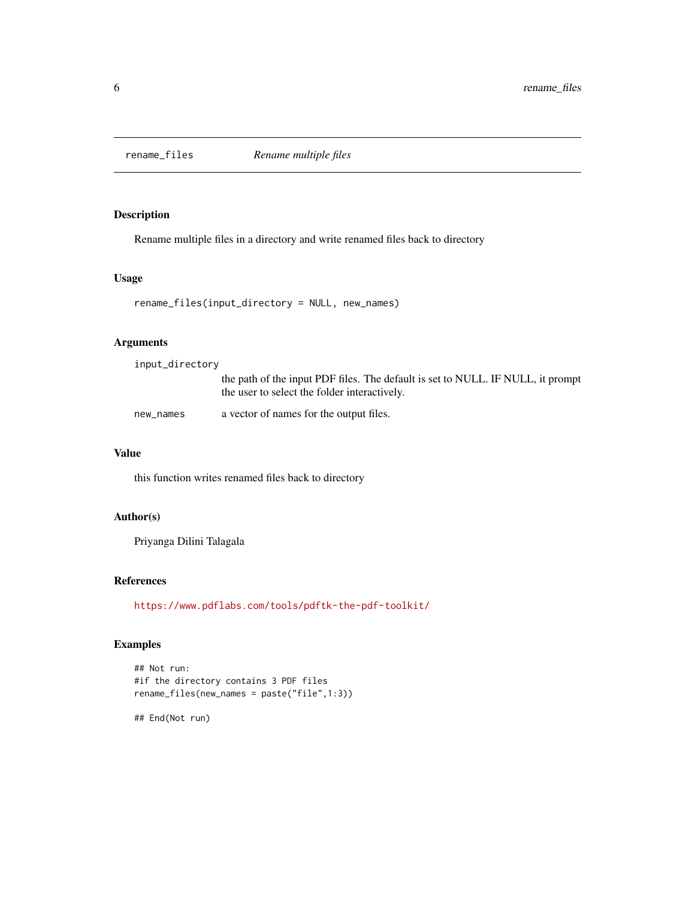<span id="page-5-1"></span><span id="page-5-0"></span>

# Description

Rename multiple files in a directory and write renamed files back to directory

#### Usage

```
rename_files(input_directory = NULL, new_names)
```
# Arguments

input\_directory

|           | the path of the input PDF files. The default is set to NULL. IF NULL, it prompt<br>the user to select the folder interactively. |
|-----------|---------------------------------------------------------------------------------------------------------------------------------|
| new_names | a vector of names for the output files.                                                                                         |

#### Value

this function writes renamed files back to directory

# Author(s)

Priyanga Dilini Talagala

# References

<https://www.pdflabs.com/tools/pdftk-the-pdf-toolkit/>

# Examples

```
## Not run:
#if the directory contains 3 PDF files
rename_files(new_names = paste("file",1:3))
```
## End(Not run)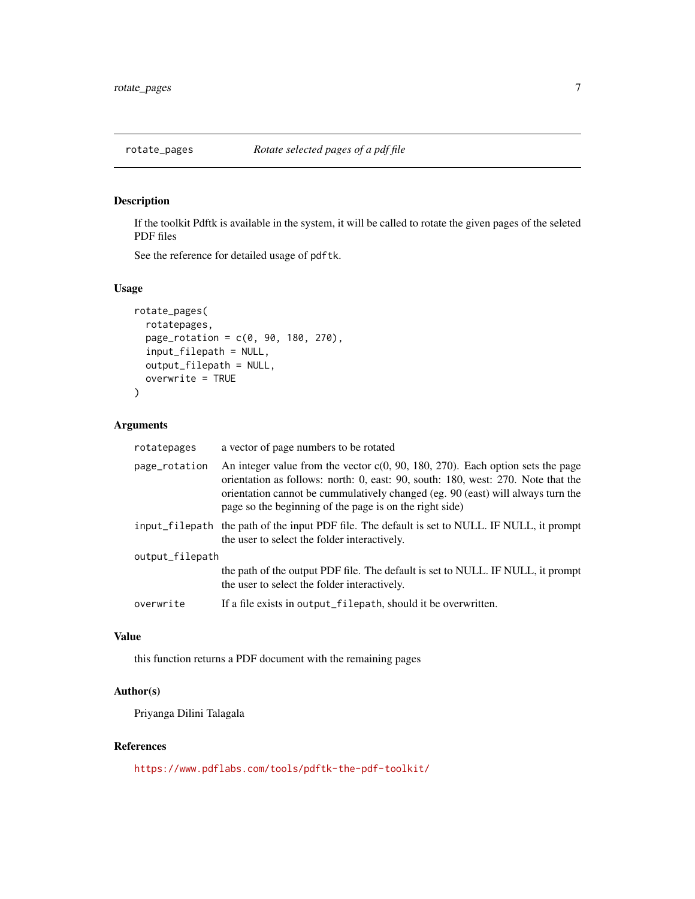<span id="page-6-0"></span>

# Description

If the toolkit Pdftk is available in the system, it will be called to rotate the given pages of the seleted PDF files

See the reference for detailed usage of pdftk.

# Usage

```
rotate_pages(
  rotatepages,
  page_{rotation} = c(0, 90, 180, 270),
  input_filepath = NULL,
  output_filepath = NULL,
  overwrite = TRUE
)
```
# Arguments

| rotatepages     | a vector of page numbers to be rotated                                                                                                                                                                                                                                                                              |
|-----------------|---------------------------------------------------------------------------------------------------------------------------------------------------------------------------------------------------------------------------------------------------------------------------------------------------------------------|
| page_rotation   | An integer value from the vector $c(0, 90, 180, 270)$ . Each option sets the page<br>orientation as follows: north: 0, east: 90, south: 180, west: 270. Note that the<br>orientation cannot be cummulatively changed (eg. 90 (east) will always turn the<br>page so the beginning of the page is on the right side) |
|                 | input_filepath the path of the input PDF file. The default is set to NULL. IF NULL, it prompt<br>the user to select the folder interactively.                                                                                                                                                                       |
| output_filepath |                                                                                                                                                                                                                                                                                                                     |
|                 | the path of the output PDF file. The default is set to NULL. IF NULL, it prompt<br>the user to select the folder interactively.                                                                                                                                                                                     |
| overwrite       | If a file exists in output_filepath, should it be overwritten.                                                                                                                                                                                                                                                      |

# Value

this function returns a PDF document with the remaining pages

# Author(s)

Priyanga Dilini Talagala

# References

<https://www.pdflabs.com/tools/pdftk-the-pdf-toolkit/>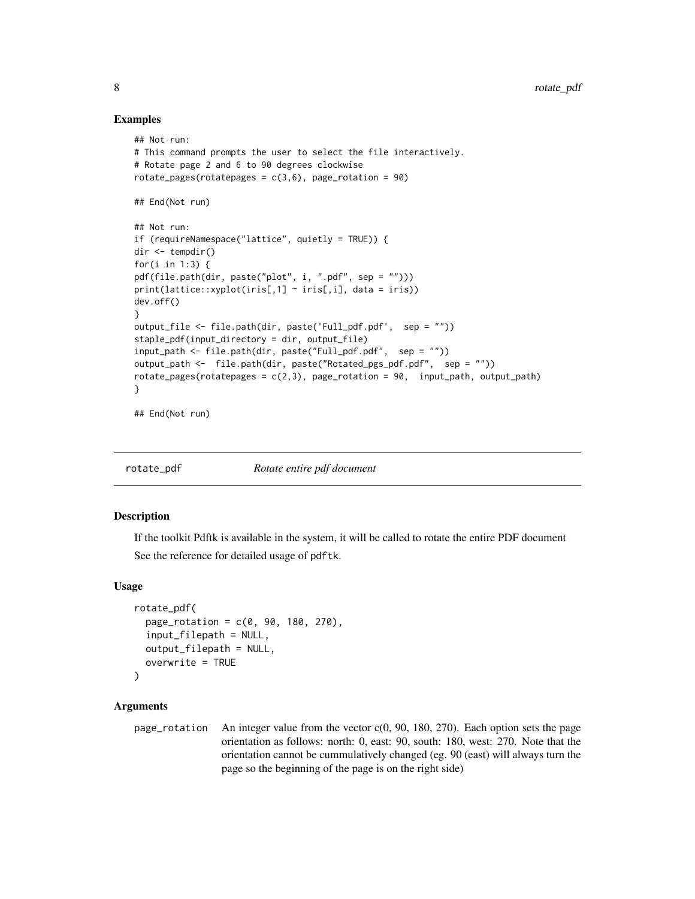#### Examples

```
## Not run:
# This command prompts the user to select the file interactively.
# Rotate page 2 and 6 to 90 degrees clockwise
rotate_pages(rotatepages = c(3,6), page_rotation = 90)
## End(Not run)
## Not run:
if (requireNamespace("lattice", quietly = TRUE)) {
dir <- tempdir()
for(i in 1:3) {
pdf(file.path(dir, paste("plot", i, ".pdf", sep = "")))
print(lattice::xyplot(iris[,1] ~ "iris[,i], data = iris))
dev.off()
}
output_file <- file.path(dir, paste('Full_pdf.pdf', sep = ""))
staple_pdf(input_directory = dir, output_file)
input_path <- file.path(dir, paste("Full_pdf.pdf", sep = ""))
output_path <- file.path(dir, paste("Rotated_pgs_pdf.pdf", sep = ""))
rotate\_\text{pages}(rotate\_\text{pages} = c(2,3), page\_\text{rotation} = 90, input\_\text{path}, output\_\text{path})}
```
## End(Not run)

rotate\_pdf *Rotate entire pdf document*

#### Description

If the toolkit Pdftk is available in the system, it will be called to rotate the entire PDF document See the reference for detailed usage of pdftk.

# Usage

```
rotate_pdf(
  page_{rotation} = c(0, 90, 180, 270),
  input_filepath = NULL,
 output_filepath = NULL,
  overwrite = TRUE
)
```
# Arguments

page\_rotation An integer value from the vector c(0, 90, 180, 270). Each option sets the page orientation as follows: north: 0, east: 90, south: 180, west: 270. Note that the orientation cannot be cummulatively changed (eg. 90 (east) will always turn the page so the beginning of the page is on the right side)

<span id="page-7-0"></span>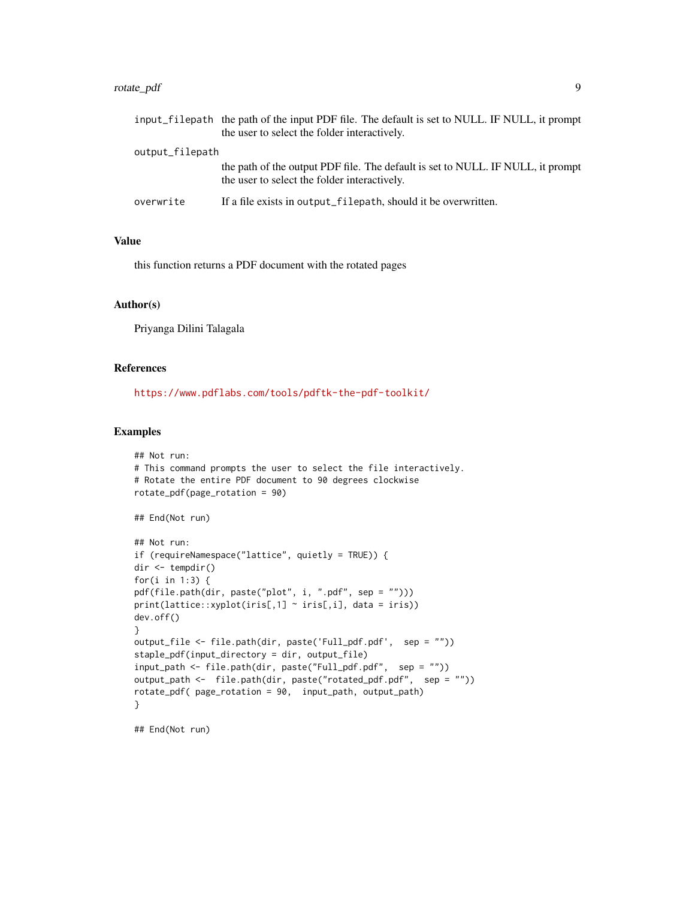# rotate\_pdf 9

|                 | input_filepath the path of the input PDF file. The default is set to NULL. IF NULL, it prompt |
|-----------------|-----------------------------------------------------------------------------------------------|
|                 | the user to select the folder interactively.                                                  |
| output_filepath |                                                                                               |
|                 | the path of the output PDF file. The default is set to NULL. IF NULL, it prompt               |
|                 | the user to select the folder interactively.                                                  |
| overwrite       | If a file exists in output filepath, should it be overwritten.                                |

#### Value

this function returns a PDF document with the rotated pages

#### Author(s)

Priyanga Dilini Talagala

# References

<https://www.pdflabs.com/tools/pdftk-the-pdf-toolkit/>

# Examples

```
## Not run:
# This command prompts the user to select the file interactively.
# Rotate the entire PDF document to 90 degrees clockwise
rotate_pdf(page_rotation = 90)
## End(Not run)
## Not run:
if (requireNamespace("lattice", quietly = TRUE)) {
dir <- tempdir()
for(i in 1:3) {
pdf(file.path(dir, paste("plot", i, ".pdf", sep = "")))
print(lattice::xyplot(iris[,1] ~ iris[,i], data = iris))
dev.off()
}
output_file <- file.path(dir, paste('Full_pdf.pdf', sep = ""))
staple_pdf(input_directory = dir, output_file)
input_path <- file.path(dir, paste("Full_pdf.pdf", sep = ""))
output_path <- file.path(dir, paste("rotated_pdf.pdf", sep = ""))
rotate_pdf( page_rotation = 90, input_path, output_path)
}
```
## End(Not run)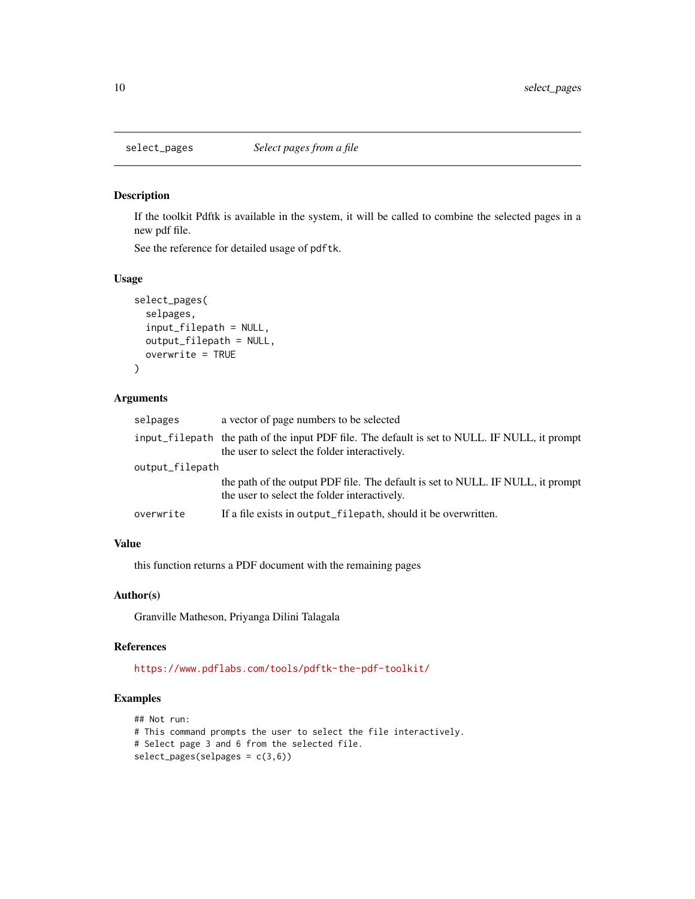<span id="page-9-0"></span>

# Description

If the toolkit Pdftk is available in the system, it will be called to combine the selected pages in a new pdf file.

See the reference for detailed usage of pdftk.

#### Usage

```
select_pages(
  selpages,
  input_filepath = NULL,
  output_filepath = NULL,
  overwrite = TRUE
)
```
#### Arguments

| selpages        | a vector of page numbers to be selected                                                                                                       |
|-----------------|-----------------------------------------------------------------------------------------------------------------------------------------------|
|                 | input_filepath the path of the input PDF file. The default is set to NULL. IF NULL, it prompt<br>the user to select the folder interactively. |
| output_filepath |                                                                                                                                               |
|                 | the path of the output PDF file. The default is set to NULL. IF NULL, it prompt<br>the user to select the folder interactively.               |
| overwrite       | If a file exists in output_filepath, should it be overwritten.                                                                                |
|                 |                                                                                                                                               |

# Value

this function returns a PDF document with the remaining pages

#### Author(s)

Granville Matheson, Priyanga Dilini Talagala

#### References

<https://www.pdflabs.com/tools/pdftk-the-pdf-toolkit/>

# Examples

```
## Not run:
# This command prompts the user to select the file interactively.
# Select page 3 and 6 from the selected file.
select_pages(self) = c(3,6)
```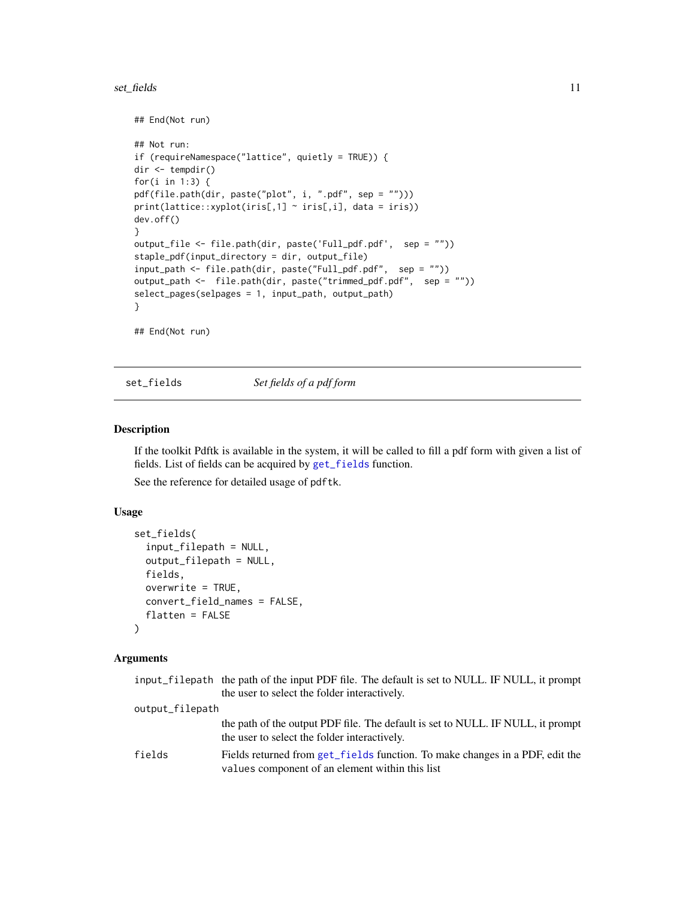#### <span id="page-10-0"></span>set\_fields 11

```
## End(Not run)
## Not run:
if (requireNamespace("lattice", quietly = TRUE)) {
dir <- tempdir()
for(i in 1:3) {
pdf(file.path(dir, paste("plot", i, ".pdf", sep = "")))
print(lattice::xyplot(iris[,1] \sim iris[,i], data = iris))
dev.off()
}
output_file <- file.path(dir, paste('Full_pdf.pdf', sep = ""))
staple_pdf(input_directory = dir, output_file)
input_path <- file.path(dir, paste("Full_pdf.pdf", sep = ""))
output_path <- file.path(dir, paste("trimmed_pdf.pdf", sep = ""))
select_pages(selpages = 1, input_path, output_path)
}
## End(Not run)
```
<span id="page-10-1"></span>set\_fields *Set fields of a pdf form*

# Description

If the toolkit Pdftk is available in the system, it will be called to fill a pdf form with given a list of fields. List of fields can be acquired by [get\\_fields](#page-1-1) function.

See the reference for detailed usage of pdftk.

#### Usage

```
set_fields(
  input_filepath = NULL,
  output_filepath = NULL,
  fields,
 overwrite = TRUE,
 convert_field_names = FALSE,
  flatten = FALSE
)
```
### Arguments

|                 | input_filepath the path of the input PDF file. The default is set to NULL. IF NULL, it prompt                                   |
|-----------------|---------------------------------------------------------------------------------------------------------------------------------|
|                 | the user to select the folder interactively.                                                                                    |
| output_filepath |                                                                                                                                 |
|                 | the path of the output PDF file. The default is set to NULL. IF NULL, it prompt<br>the user to select the folder interactively. |
| fields          | Fields returned from get fields function. To make changes in a PDF, edit the<br>values component of an element within this list |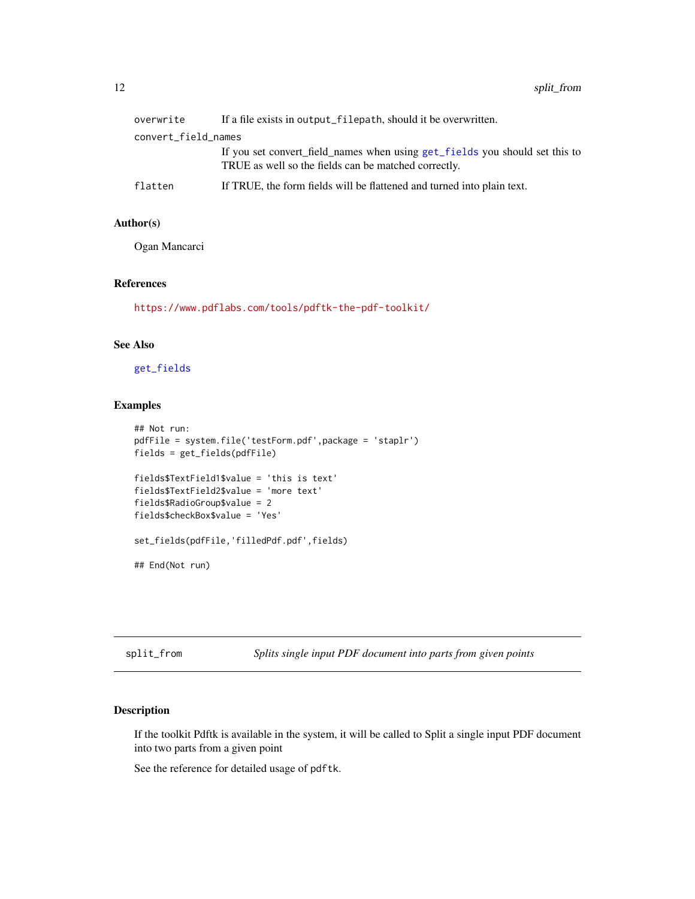<span id="page-11-0"></span>

| overwrite           | If a file exists in output_filepath, should it be overwritten.                                                                      |
|---------------------|-------------------------------------------------------------------------------------------------------------------------------------|
| convert_field_names |                                                                                                                                     |
|                     | If you set convert_field_names when using get_fields you should set this to<br>TRUE as well so the fields can be matched correctly. |
| flatten             | If TRUE, the form fields will be flattened and turned into plain text.                                                              |

# Author(s)

Ogan Mancarci

# References

<https://www.pdflabs.com/tools/pdftk-the-pdf-toolkit/>

# See Also

[get\\_fields](#page-1-1)

# Examples

```
## Not run:
pdfFile = system.file('testForm.pdf',package = 'staplr')
fields = get_fields(pdfFile)
fields$TextField1$value = 'this is text'
fields$TextField2$value = 'more text'
fields$RadioGroup$value = 2
fields$checkBox$value = 'Yes'
set_fields(pdfFile,'filledPdf.pdf',fields)
## End(Not run)
```
split\_from *Splits single input PDF document into parts from given points*

# Description

If the toolkit Pdftk is available in the system, it will be called to Split a single input PDF document into two parts from a given point

See the reference for detailed usage of pdftk.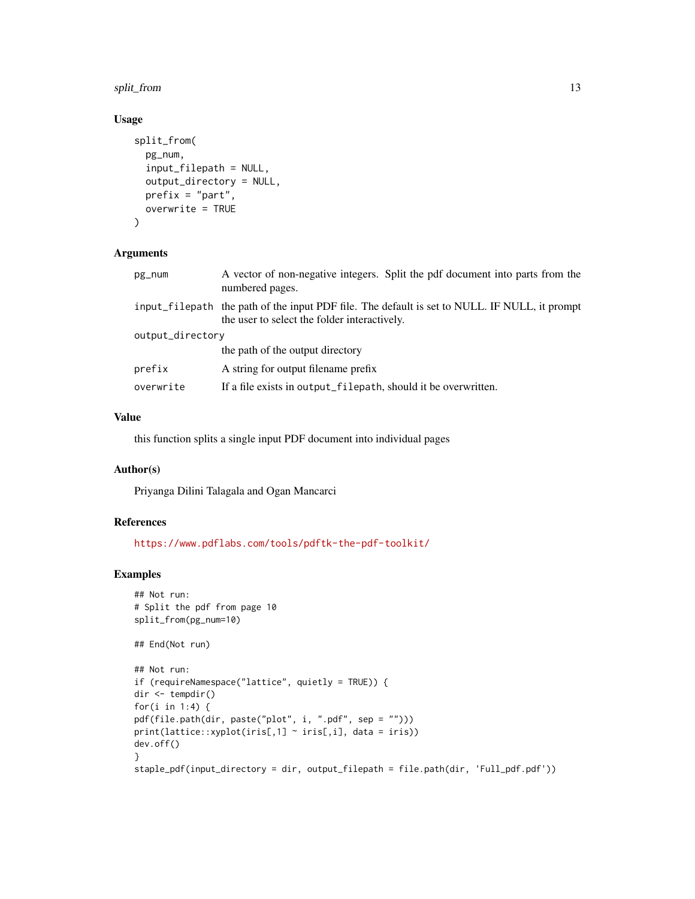# split\_from 13

# Usage

```
split_from(
 pg_num,
  input_filepath = NULL,
  output_directory = NULL,
 prefix = "part",
 overwrite = TRUE
)
```
# Arguments

| pg_num           | A vector of non-negative integers. Split the pdf document into parts from the<br>numbered pages.                                              |  |
|------------------|-----------------------------------------------------------------------------------------------------------------------------------------------|--|
|                  | input_filepath the path of the input PDF file. The default is set to NULL. IF NULL, it prompt<br>the user to select the folder interactively. |  |
| output_directory |                                                                                                                                               |  |
|                  | the path of the output directory                                                                                                              |  |
| prefix           | A string for output filename prefix                                                                                                           |  |
| overwrite        | If a file exists in output_filepath, should it be overwritten.                                                                                |  |

# Value

this function splits a single input PDF document into individual pages

# Author(s)

Priyanga Dilini Talagala and Ogan Mancarci

#### References

<https://www.pdflabs.com/tools/pdftk-the-pdf-toolkit/>

# Examples

```
## Not run:
# Split the pdf from page 10
split_from(pg_num=10)
```

```
## End(Not run)
```

```
## Not run:
if (requireNamespace("lattice", quietly = TRUE)) {
dir <- tempdir()
for(i in 1:4) {
pdf(file.path(dir, paste("plot", i, ".pdf", sep = "")))
print(lattice::xyplot(iris[,1] ~ iris[,i], data = iris))
dev.off()
}
staple_pdf(input_directory = dir, output_filepath = file.path(dir, 'Full_pdf.pdf'))
```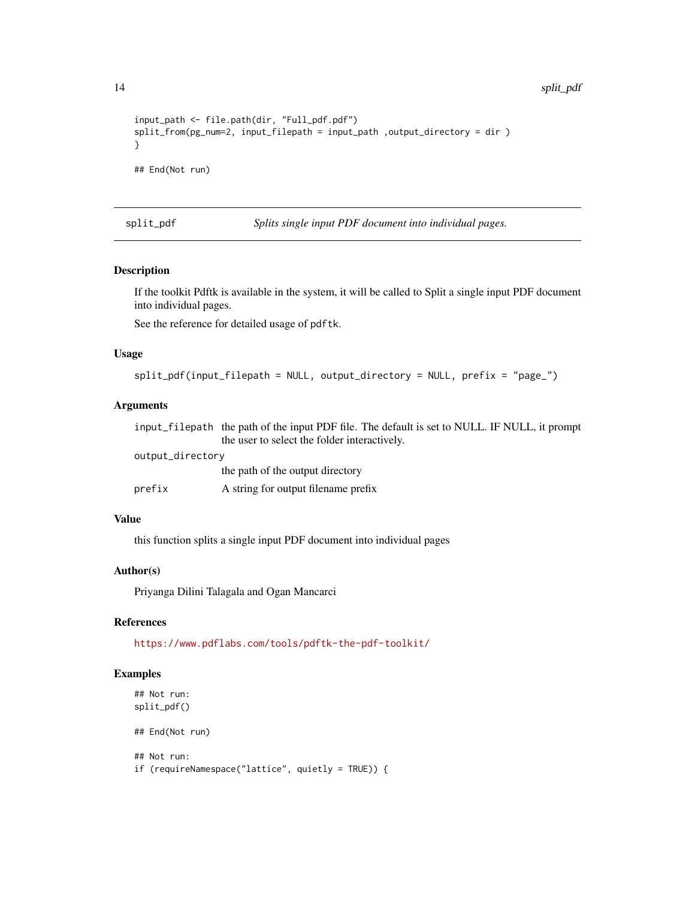<span id="page-13-0"></span>14 split\_pdf

```
input_path <- file.path(dir, "Full_pdf.pdf")
split_from(pg_num=2, input_filepath = input_path ,output_directory = dir )
}
## End(Not run)
```
<span id="page-13-1"></span>split\_pdf *Splits single input PDF document into individual pages.*

# Description

If the toolkit Pdftk is available in the system, it will be called to Split a single input PDF document into individual pages.

See the reference for detailed usage of pdftk.

#### Usage

```
split_pdf(input_filepath = NULL, output_directory = NULL, prefix = "page_")
```
# Arguments

|                  | input_filepath the path of the input PDF file. The default is set to NULL. IF NULL, it prompt |
|------------------|-----------------------------------------------------------------------------------------------|
|                  | the user to select the folder interactively.                                                  |
| output_directory |                                                                                               |
|                  | the path of the output directory                                                              |
| prefix           | A string for output filename prefix                                                           |

### Value

this function splits a single input PDF document into individual pages

#### Author(s)

Priyanga Dilini Talagala and Ogan Mancarci

#### References

<https://www.pdflabs.com/tools/pdftk-the-pdf-toolkit/>

# Examples

```
## Not run:
split_pdf()
## End(Not run)
## Not run:
if (requireNamespace("lattice", quietly = TRUE)) {
```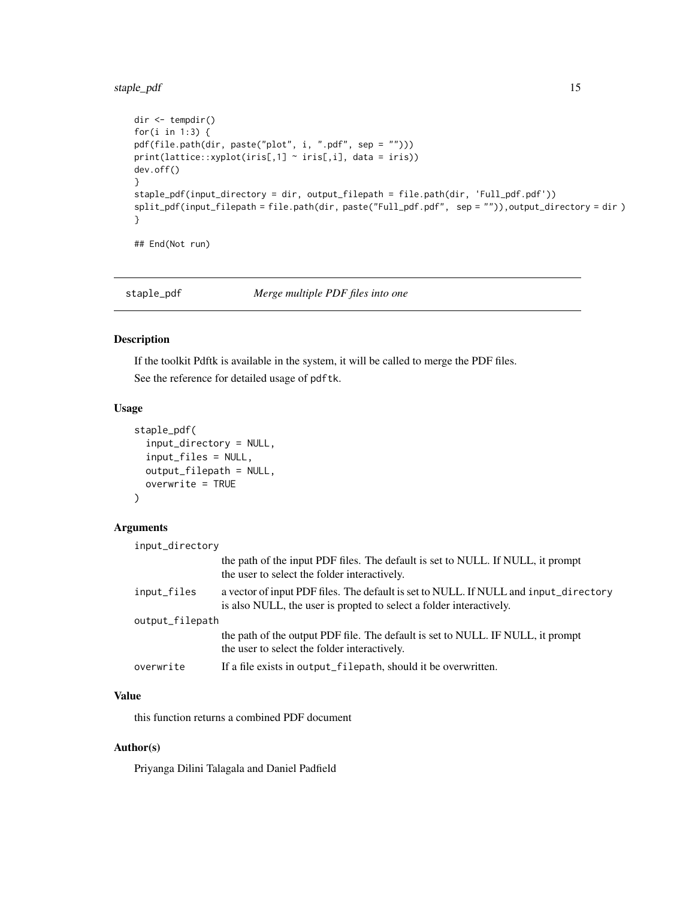# <span id="page-14-0"></span>staple\_pdf 15

```
dir <- tempdir()
for(i in 1:3) {
pdf(file.path(dir, paste("plot", i, ".pdf", sep = "")))
print(lattice::xyplot(iris[,1] ~ iris[,i], data = iris))
dev.off()
}
staple_pdf(input_directory = dir, output_filepath = file.path(dir, 'Full_pdf.pdf'))
split_pdf(input_filepath = file.path(dir, paste("Full_pdf.pdf", sep = "")),output_directory = dir )
}
```
## End(Not run)

<span id="page-14-1"></span>staple\_pdf *Merge multiple PDF files into one*

# Description

If the toolkit Pdftk is available in the system, it will be called to merge the PDF files. See the reference for detailed usage of pdftk.

#### Usage

```
staple_pdf(
  input_directory = NULL,
  input_files = NULL,
 output_filepath = NULL,
 overwrite = TRUE
)
```
#### Arguments

| input_directory |                                                                                                                                                             |
|-----------------|-------------------------------------------------------------------------------------------------------------------------------------------------------------|
|                 | the path of the input PDF files. The default is set to NULL. If NULL, it prompt<br>the user to select the folder interactively.                             |
| input_files     | a vector of input PDF files. The default is set to NULL. If NULL and input_directory<br>is also NULL, the user is propted to select a folder interactively. |
| output_filepath |                                                                                                                                                             |
|                 | the path of the output PDF file. The default is set to NULL. IF NULL, it prompt<br>the user to select the folder interactively.                             |
| overwrite       | If a file exists in output_filepath, should it be overwritten.                                                                                              |

# Value

this function returns a combined PDF document

# Author(s)

Priyanga Dilini Talagala and Daniel Padfield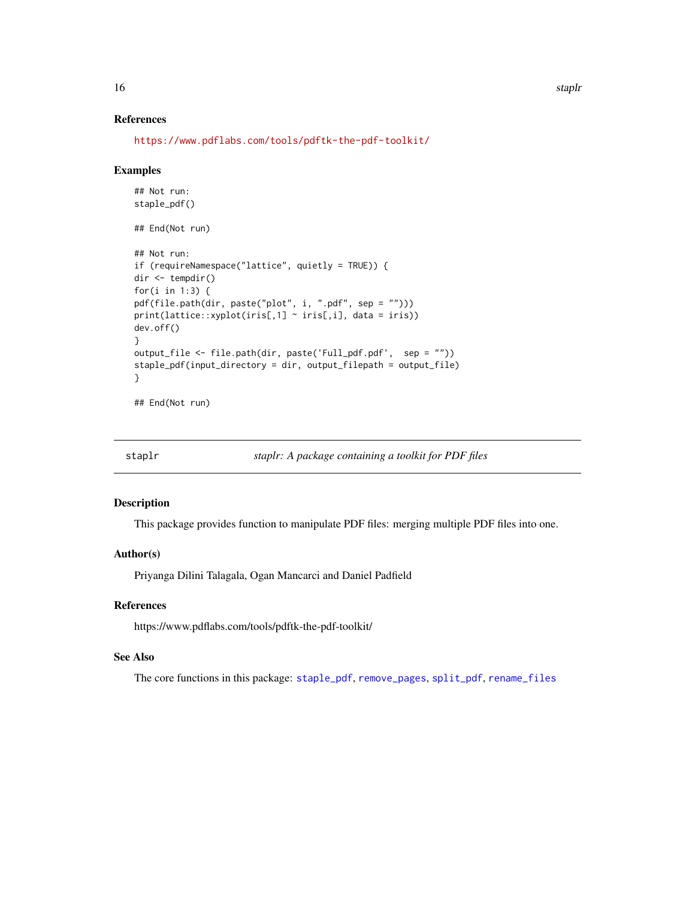#### References

```
https://www.pdflabs.com/tools/pdftk-the-pdf-toolkit/
```
#### Examples

```
## Not run:
staple_pdf()
## End(Not run)
## Not run:
if (requireNamespace("lattice", quietly = TRUE)) {
dir <- tempdir()
for(i in 1:3) {
pdf(file.path(dir, paste("plot", i, ".pdf", sep = "")))
print(lattice::xyplot(iris[,1] ~ iris[,i], data = iris))
dev.off()
}
output_file <- file.path(dir, paste('Full_pdf.pdf', sep = ""))
staple_pdf(input_directory = dir, output_filepath = output_file)
}
```

```
## End(Not run)
```

|  | staplr |  |  | staplr: A package containing a toolkit for PDF files |
|--|--------|--|--|------------------------------------------------------|
|--|--------|--|--|------------------------------------------------------|

#### Description

This package provides function to manipulate PDF files: merging multiple PDF files into one.

#### Author(s)

Priyanga Dilini Talagala, Ogan Mancarci and Daniel Padfield

# References

https://www.pdflabs.com/tools/pdftk-the-pdf-toolkit/

# See Also

The core functions in this package: [staple\\_pdf](#page-14-1), [remove\\_pages](#page-3-1), [split\\_pdf](#page-13-1), [rename\\_files](#page-5-1)

<span id="page-15-0"></span>